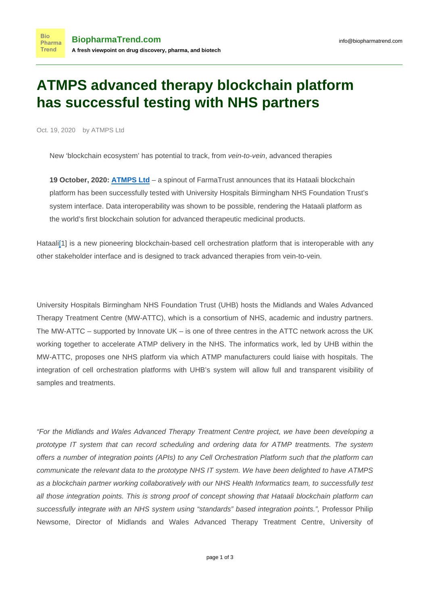## **ATMPS advanced therapy blockchain platform has successful testing with NHS partners**

Oct. 19, 2020 by ATMPS Ltd

**Bio** 

New 'blockchain ecosystem' has potential to track, from vein-to-vein, advanced therapies

**19 October, 2020: [ATMPS Ltd](https://www.atmps.net/)** – a spinout of FarmaTrust announces that its Hataali blockchain platform has been successfully tested with University Hospitals Birmingham NHS Foundation Trust's system interface. Data interoperability was shown to be possible, rendering the Hataali platform as the world's first blockchain solution for advanced therapeutic medicinal products.

<span id="page-0-0"></span>Hataali<sup>[1]</sup> is a new pioneering blockchain-based cell orchestration platform that is interoperable with any other stakeholder interface and is designed to track advanced therapies from vein-to-vein.

University Hospitals Birmingham NHS Foundation Trust (UHB) hosts the Midlands and Wales Advanced Therapy Treatment Centre (MW-ATTC), which is a consortium of NHS, academic and industry partners. The MW-ATTC – supported by Innovate UK – is one of three centres in the ATTC network across the UK working together to accelerate ATMP delivery in the NHS. The informatics work, led by UHB within the MW-ATTC, proposes one NHS platform via which ATMP manufacturers could liaise with hospitals. The integration of cell orchestration platforms with UHB's system will allow full and transparent visibility of samples and treatments.

"For the Midlands and Wales Advanced Therapy Treatment Centre project, we have been developing a prototype IT system that can record scheduling and ordering data for ATMP treatments. The system offers a number of integration points (APIs) to any Cell Orchestration Platform such that the platform can communicate the relevant data to the prototype NHS IT system. We have been delighted to have ATMPS as a blockchain partner working collaboratively with our NHS Health Informatics team, to successfully test all those integration points. This is strong proof of concept showing that Hataali blockchain platform can successfully integrate with an NHS system using "standards" based integration points.", Professor Philip Newsome, Director of Midlands and Wales Advanced Therapy Treatment Centre, University of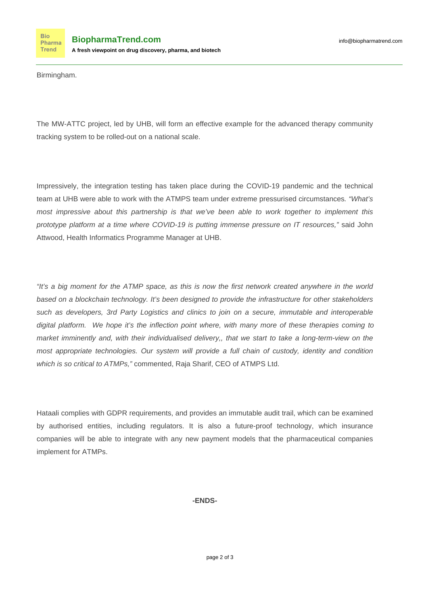Birmingham.

The MW-ATTC project, led by UHB, will form an effective example for the advanced therapy community tracking system to be rolled-out on a national scale.

Impressively, the integration testing has taken place during the COVID-19 pandemic and the technical team at UHB were able to work with the ATMPS team under extreme pressurised circumstances. "What's most impressive about this partnership is that we've been able to work together to implement this prototype platform at a time where COVID-19 is putting immense pressure on IT resources," said John Attwood, Health Informatics Programme Manager at UHB.

"It's a big moment for the ATMP space, as this is now the first network created anywhere in the world based on a blockchain technology. It's been designed to provide the infrastructure for other stakeholders such as developers, 3rd Party Logistics and clinics to join on a secure, immutable and interoperable digital platform. We hope it's the inflection point where, with many more of these therapies coming to market imminently and, with their individualised delivery,, that we start to take a long-term-view on the most appropriate technologies. Our system will provide a full chain of custody, identity and condition which is so critical to ATMPs," commented, Raja Sharif, CEO of ATMPS Ltd.

Hataali complies with GDPR requirements, and provides an immutable audit trail, which can be examined by authorised entities, including regulators. It is also a future-proof technology, which insurance companies will be able to integrate with any new payment models that the pharmaceutical companies implement for ATMPs.

## **-ENDS-**